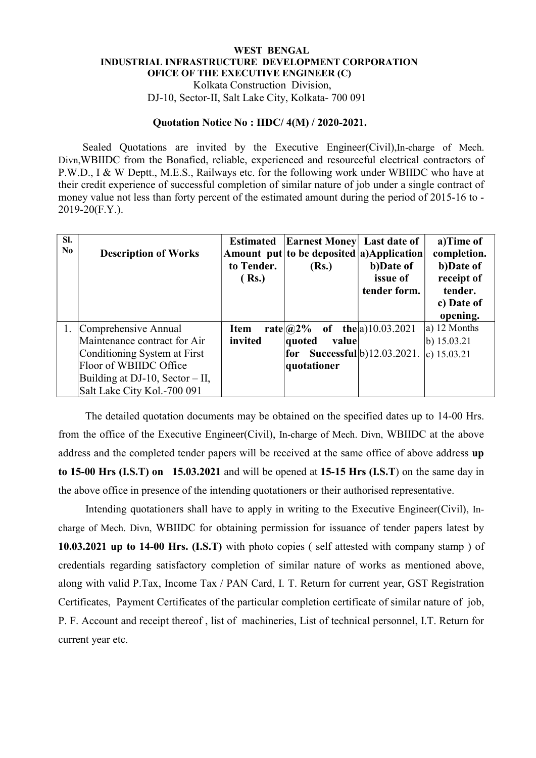## WEST BENGAL INDUSTRIAL INFRASTRUCTURE DEVELOPMENT CORPORATION OFICE OF THE EXECUTIVE ENGINEER (C) Kolkata Construction Division,

DJ-10, Sector-II, Salt Lake City, Kolkata- 700 091

## Quotation Notice No : IIDC/ 4(M) / 2020-2021.

 Sealed Quotations are invited by the Executive Engineer(Civil),In-charge of Mech. Divn,WBIIDC from the Bonafied, reliable, experienced and resourceful electrical contractors of P.W.D., I & W Deptt., M.E.S., Railways etc. for the following work under WBIIDC who have at their credit experience of successful completion of similar nature of job under a single contract of money value not less than forty percent of the estimated amount during the period of 2015-16 to - 2019-20(F.Y.).

| SI.<br>N <sub>0</sub> | <b>Description of Works</b>       | <b>Estimated</b><br>to Tender.<br>(Rs.) | <b>Earnest Money</b> Last date of<br>Amount put to be deposited a) Application<br>(Rs.) | b)Date of<br>issue of<br>tender form. | a)Time of<br>completion.<br>b)Date of<br>receipt of<br>tender.<br>c) Date of<br>opening. |
|-----------------------|-----------------------------------|-----------------------------------------|-----------------------------------------------------------------------------------------|---------------------------------------|------------------------------------------------------------------------------------------|
|                       | 1. Comprehensive Annual           | <b>Item</b>                             | rate $\alpha$ 2%                                                                        | of the $ a\rangle$ 10.03.2021         | a) 12 Months                                                                             |
|                       | Maintenance contract for Air      | invited                                 | value<br>quoted                                                                         |                                       | $\vert$ b) 15.03.21                                                                      |
|                       | Conditioning System at First      |                                         | for                                                                                     | Successful <sup>b</sup> )12.03.2021.  | c) $15.03.21$                                                                            |
|                       | Floor of WBIIDC Office            |                                         | quotationer                                                                             |                                       |                                                                                          |
|                       | Building at DJ-10, Sector $-$ II, |                                         |                                                                                         |                                       |                                                                                          |
|                       | Salt Lake City Kol.-700 091       |                                         |                                                                                         |                                       |                                                                                          |

 The detailed quotation documents may be obtained on the specified dates up to 14-00 Hrs. from the office of the Executive Engineer(Civil), In-charge of Mech. Divn, WBIIDC at the above address and the completed tender papers will be received at the same office of above address up to 15-00 Hrs (I.S.T) on 15.03.2021 and will be opened at 15-15 Hrs (I.S.T) on the same day in the above office in presence of the intending quotationers or their authorised representative.

 Intending quotationers shall have to apply in writing to the Executive Engineer(Civil), Incharge of Mech. Divn, WBIIDC for obtaining permission for issuance of tender papers latest by 10.03.2021 up to 14-00 Hrs. (I.S.T) with photo copies ( self attested with company stamp ) of credentials regarding satisfactory completion of similar nature of works as mentioned above, along with valid P.Tax, Income Tax / PAN Card, I. T. Return for current year, GST Registration Certificates, Payment Certificates of the particular completion certificate of similar nature of job, P. F. Account and receipt thereof , list of machineries, List of technical personnel, I.T. Return for current year etc.